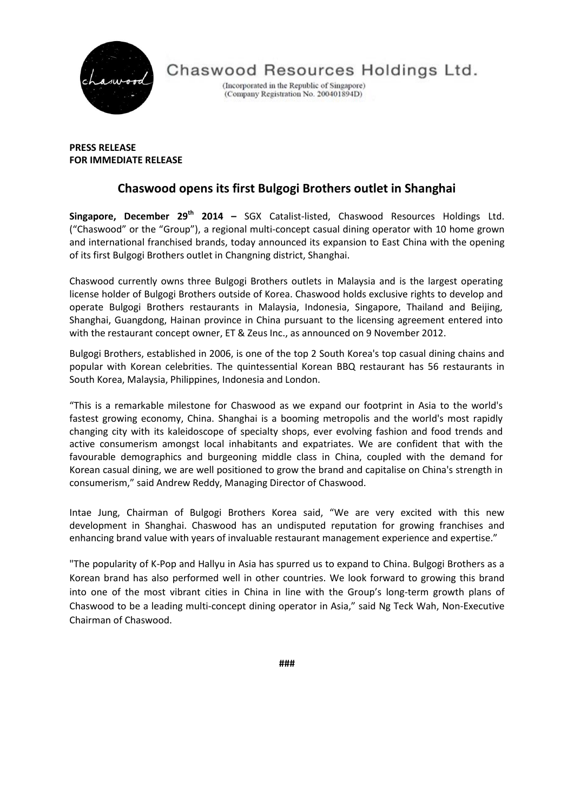

Chaswood Resources Holdings Ltd.

(Incorporated in the Republic of Singapore) (Company Registration No. 200401894D)

**PRESS RELEASE FOR IMMEDIATE RELEASE**

## **Chaswood opens its first Bulgogi Brothers outlet in Shanghai**

**Singapore, December 29th 2014 –** SGX Catalist-listed, Chaswood Resources Holdings Ltd. ("Chaswood" or the "Group"), a regional multi-concept casual dining operator with 10 home grown and international franchised brands, today announced its expansion to East China with the opening of its first Bulgogi Brothers outlet in Changning district, Shanghai.

Chaswood currently owns three Bulgogi Brothers outlets in Malaysia and is the largest operating license holder of Bulgogi Brothers outside of Korea. Chaswood holds exclusive rights to develop and operate Bulgogi Brothers restaurants in Malaysia, Indonesia, Singapore, Thailand and Beijing, Shanghai, Guangdong, Hainan province in China pursuant to the licensing agreement entered into with the restaurant concept owner, ET & Zeus Inc., as announced on 9 November 2012.

Bulgogi Brothers, established in 2006, is one of the top 2 South Korea's top casual dining chains and popular with Korean celebrities. The quintessential Korean BBQ restaurant has 56 restaurants in South Korea, Malaysia, Philippines, Indonesia and London.

"This is a remarkable milestone for Chaswood as we expand our footprint in Asia to the world's fastest growing economy, China. Shanghai is a booming metropolis and the world's most rapidly changing city with its kaleidoscope of specialty shops, ever evolving fashion and food trends and active consumerism amongst local inhabitants and expatriates. We are confident that with the favourable demographics and burgeoning middle class in China, coupled with the demand for Korean casual dining, we are well positioned to grow the brand and capitalise on China's strength in consumerism," said Andrew Reddy, Managing Director of Chaswood.

Intae Jung, Chairman of Bulgogi Brothers Korea said, "We are very excited with this new development in Shanghai. Chaswood has an undisputed reputation for growing franchises and enhancing brand value with years of invaluable restaurant management experience and expertise."

"The popularity of K-Pop and Hallyu in Asia has spurred us to expand to China. Bulgogi Brothers as a Korean brand has also performed well in other countries. We look forward to growing this brand into one of the most vibrant cities in China in line with the Group's long-term growth plans of Chaswood to be a leading multi-concept dining operator in Asia," said Ng Teck Wah, Non-Executive Chairman of Chaswood.